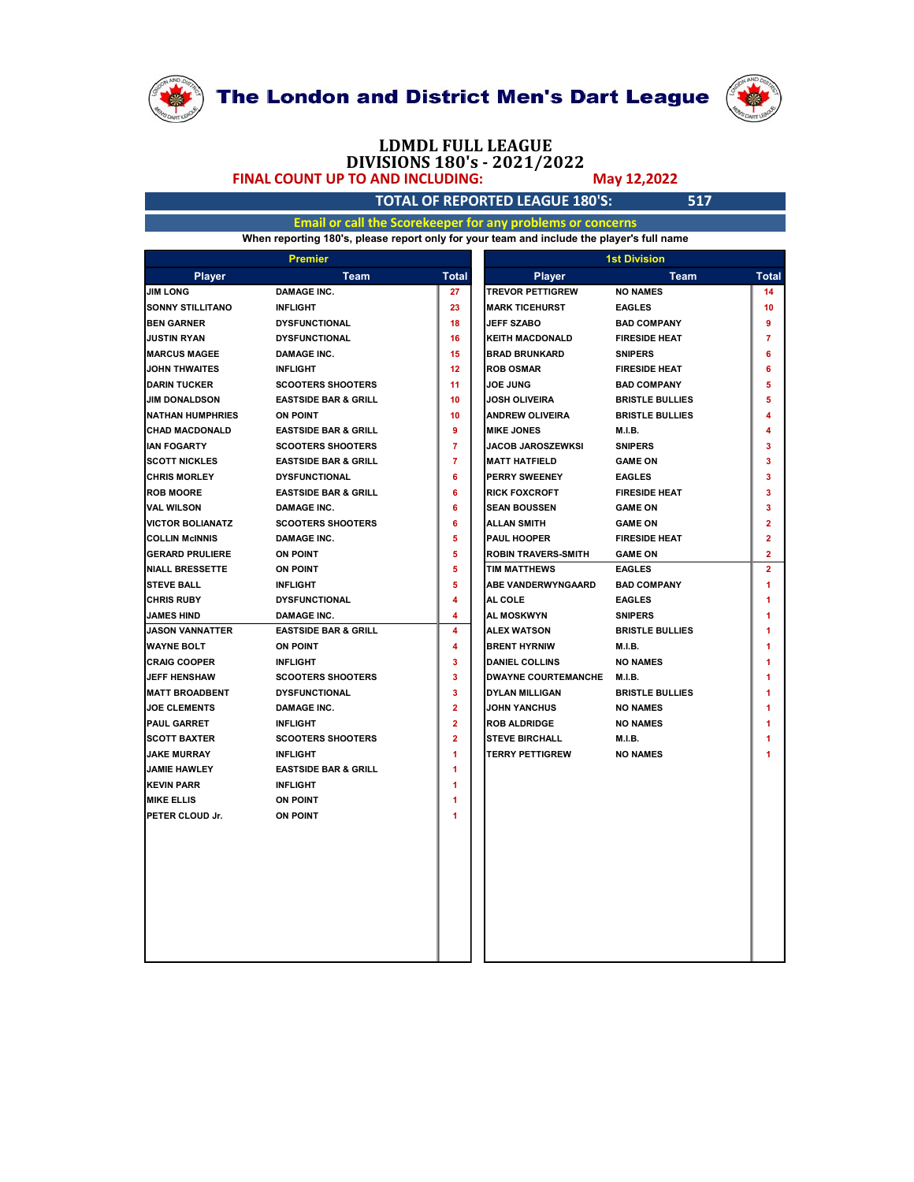

# LDMDL FULL LEAGUE

#### TOTAL OF REPORTED LEAGUE 180'S: 517

| <b>LDMDL FULL LEAGUE</b><br>DIVISIONS 180's - 2021/2022<br>May 12,2022                    |                                                     |
|-------------------------------------------------------------------------------------------|-----------------------------------------------------|
|                                                                                           |                                                     |
| <b>TOTAL OF REPORTED LEAGUE 180'S:</b>                                                    | 517                                                 |
| Email or call the Scorekeeper for any problems or concerns                                |                                                     |
| When reporting 180's, please report only for your team and include the player's full name |                                                     |
| <b>1st Division</b>                                                                       |                                                     |
| <b>Player</b>                                                                             | Team<br><b>Total</b>                                |
| <b>TREVOR PETTIGREW</b><br><b>NO NAMES</b>                                                | 14                                                  |
| <b>MARK TICEHURST</b><br><b>EAGLES</b>                                                    | 10                                                  |
| <b>JEFF SZABO</b><br><b>BAD COMPANY</b>                                                   | 9                                                   |
| <b>KEITH MACDONALD</b><br><b>FIRESIDE HEAT</b>                                            | 7                                                   |
| <b>BRAD BRUNKARD</b><br><b>SNIPERS</b>                                                    | 6                                                   |
| <b>ROB OSMAR</b><br><b>FIRESIDE HEAT</b>                                                  | 6<br>5                                              |
| <b>BAD COMPANY</b><br><b>JOSH OLIVEIRA</b><br><b>BRISTLE BULLIES</b>                      | 5                                                   |
| <b>ANDREW OLIVEIRA</b><br><b>BRISTLE BULLIES</b>                                          | 4                                                   |
| <b>MIKE JONES</b><br><b>M.I.B.</b>                                                        | 4                                                   |
| JACOB JAROSZEWKSI<br><b>SNIPERS</b>                                                       | 3                                                   |
| <b>MATT HATFIELD</b><br><b>GAME ON</b>                                                    | 3                                                   |
| <b>EAGLES</b><br>PERRY SWEENEY                                                            | 3                                                   |
| <b>RICK FOXCROFT</b><br><b>FIRESIDE HEAT</b>                                              | 3                                                   |
| <b>SEAN BOUSSEN</b><br><b>GAME ON</b>                                                     | 3                                                   |
| <b>ALLAN SMITH</b><br><b>GAME ON</b>                                                      | $\overline{2}$                                      |
| PAUL HOOPER<br><b>FIRESIDE HEAT</b>                                                       | 2                                                   |
| <b>ROBIN TRAVERS-SMITH</b><br><b>GAME ON</b>                                              | $\mathbf{2}$                                        |
| <b>TIM MATTHEWS</b><br><b>EAGLES</b>                                                      | $\overline{2}$                                      |
| ABE VANDERWYNGAARD<br><b>BAD COMPANY</b>                                                  | -1                                                  |
| <b>EAGLES</b>                                                                             |                                                     |
| <b>AL MOSKWYN</b><br><b>SNIPERS</b>                                                       | -1                                                  |
| <b>ALEX WATSON</b><br><b>BRISTLE BULLIES</b>                                              | 1                                                   |
| <b>BRENT HYRNIW</b><br><b>M.I.B.</b>                                                      |                                                     |
| <b>DANIEL COLLINS</b><br><b>NO NAMES</b>                                                  |                                                     |
| DWAYNE COURTEMANCHE M.I.B.                                                                |                                                     |
| <b>DYLAN MILLIGAN</b><br><b>BRISTLE BULLIES</b>                                           | 1                                                   |
| <b>JOHN YANCHUS</b><br><b>NO NAMES</b>                                                    |                                                     |
|                                                                                           |                                                     |
|                                                                                           |                                                     |
|                                                                                           | 1                                                   |
|                                                                                           |                                                     |
|                                                                                           |                                                     |
|                                                                                           |                                                     |
| <b>ROB ALDRIDGE</b><br><b>STEVE BIRCHALL</b><br><b>TERRY PETTIGREW</b>                    | <b>NO NAMES</b><br><b>M.I.B.</b><br><b>NO NAMES</b> |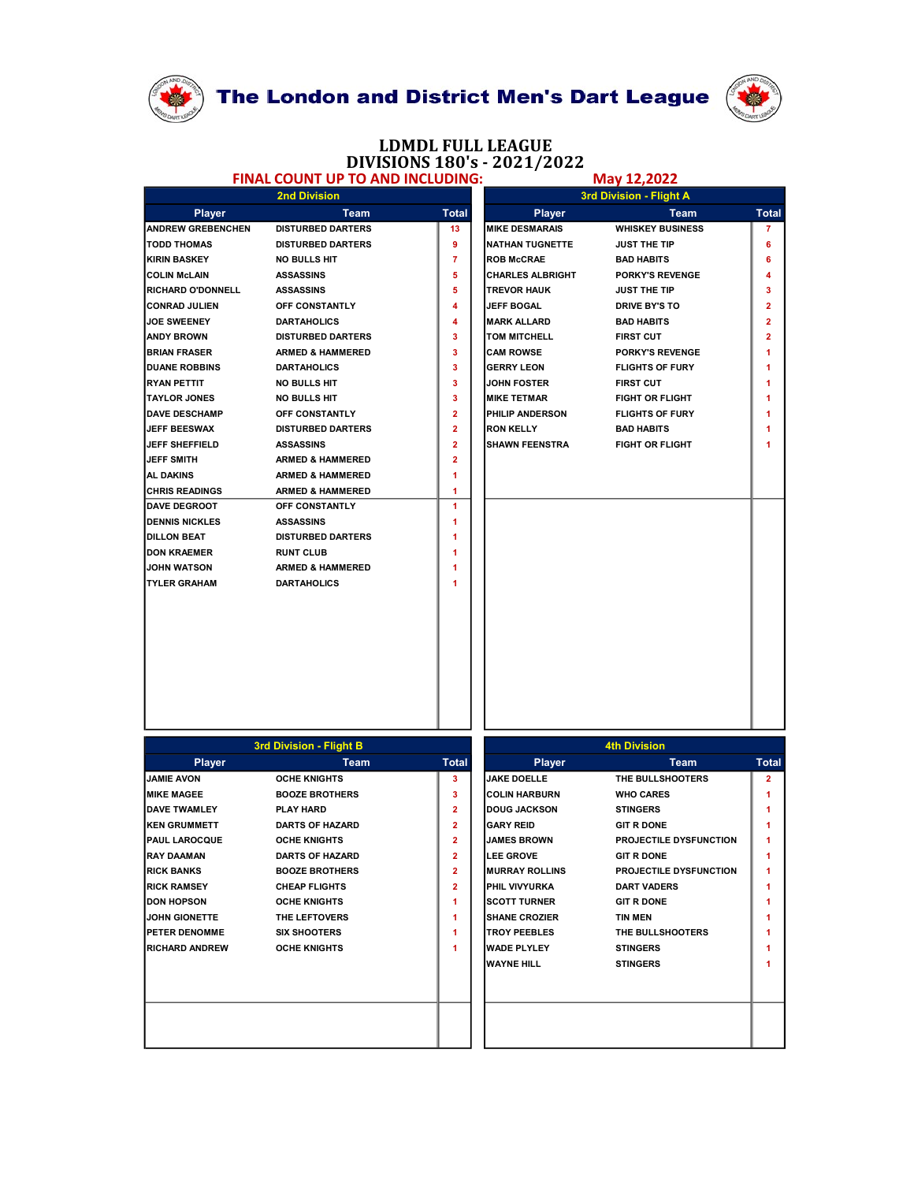



## LDMDL FULL LEAGUE DIVISIONS 180's - 2021/2022<br>TO AND INCLUDING: May 12,2022

### FINAL COUNT UP TO AND INCLUDING:

|                                            |                                                         |                                  | LDMDL FULL LEAGUE                            |                                             |                                  |
|--------------------------------------------|---------------------------------------------------------|----------------------------------|----------------------------------------------|---------------------------------------------|----------------------------------|
|                                            | <b>FINAL COUNT UP TO AND INCLUDING:</b>                 |                                  | DIVISIONS 180's - 2021/2022                  | May 12,2022                                 |                                  |
|                                            | <b>2nd Division</b>                                     |                                  |                                              | 3rd Division - Flight A                     |                                  |
| <b>Player</b>                              | Team                                                    | <b>Total</b>                     | <b>Player</b>                                | Team                                        | <b>Total</b>                     |
| <b>ANDREW GREBENCHEN</b>                   | <b>DISTURBED DARTERS</b>                                | 13                               | <b>MIKE DESMARAIS</b>                        | <b>WHISKEY BUSINESS</b>                     | $\overline{7}$                   |
| <b>TODD THOMAS</b>                         | <b>DISTURBED DARTERS</b>                                | 9                                | <b>NATHAN TUGNETTE</b>                       | JUST THE TIP                                | 6                                |
| KIRIN BASKEY<br><b>COLIN McLAIN</b>        | <b>NO BULLS HIT</b><br><b>ASSASSINS</b>                 | 7<br>5                           | <b>ROB McCRAE</b><br><b>CHARLES ALBRIGHT</b> | <b>BAD HABITS</b><br><b>PORKY'S REVENGE</b> | 6<br>4                           |
| <b>RICHARD O'DONNELL</b>                   | <b>ASSASSINS</b>                                        | 5                                | <b>TREVOR HAUK</b>                           | JUST THE TIP                                | $\mathbf{3}$                     |
| <b>CONRAD JULIEN</b>                       | OFF CONSTANTLY                                          | 4                                | <b>JEFF BOGAL</b>                            | <b>DRIVE BY'S TO</b>                        | $\overline{2}$                   |
| <b>JOE SWEENEY</b>                         | <b>DARTAHOLICS</b>                                      | 4                                | <b>MARK ALLARD</b>                           | <b>BAD HABITS</b>                           | $\overline{2}$                   |
| <b>ANDY BROWN</b><br><b>BRIAN FRASER</b>   | <b>DISTURBED DARTERS</b><br><b>ARMED &amp; HAMMERED</b> | 3<br>$\mathbf{3}$                | <b>TOM MITCHELL</b><br><b>CAM ROWSE</b>      | <b>FIRST CUT</b><br><b>PORKY'S REVENGE</b>  | $\overline{2}$<br>$\overline{1}$ |
| <b>DUANE ROBBINS</b>                       | <b>DARTAHOLICS</b>                                      | 3                                | <b>GERRY LEON</b>                            | <b>FLIGHTS OF FURY</b>                      | $\blacktriangleleft$             |
| <b>RYAN PETTIT</b>                         | NO BULLS HIT                                            | 3                                | <b>JOHN FOSTER</b>                           | <b>FIRST CUT</b>                            | -1                               |
| <b>TAYLOR JONES</b>                        | <b>NO BULLS HIT</b>                                     | 3                                | <b>MIKE TETMAR</b>                           | <b>FIGHT OR FLIGHT</b>                      | -1                               |
| <b>DAVE DESCHAMP</b>                       | OFF CONSTANTLY                                          | $\mathbf{2}$                     | <b>PHILIP ANDERSON</b>                       | <b>FLIGHTS OF FURY</b>                      | $\blacktriangleleft$             |
| <b>JEFF BEESWAX</b>                        | <b>DISTURBED DARTERS</b>                                | $\overline{2}$<br>$\overline{2}$ | <b>RON KELLY</b>                             | <b>BAD HABITS</b>                           | -1                               |
| <b>JEFF SHEFFIELD</b><br><b>JEFF SMITH</b> | <b>ASSASSINS</b><br><b>ARMED &amp; HAMMERED</b>         | $\overline{2}$                   | <b>SHAWN FEENSTRA</b>                        | <b>FIGHT OR FLIGHT</b>                      | $\blacktriangleleft$             |
| AL DAKINS                                  | <b>ARMED &amp; HAMMERED</b>                             |                                  |                                              |                                             |                                  |
| <b>CHRIS READINGS</b>                      | <b>ARMED &amp; HAMMERED</b>                             | -1                               |                                              |                                             |                                  |
| <b>DAVE DEGROOT</b>                        | OFF CONSTANTLY                                          | $\overline{1}$                   |                                              |                                             |                                  |
| <b>DENNIS NICKLES</b>                      | <b>ASSASSINS</b>                                        |                                  |                                              |                                             |                                  |
| <b>DILLON BEAT</b><br><b>DON KRAEMER</b>   | <b>DISTURBED DARTERS</b><br><b>RUNT CLUB</b>            |                                  |                                              |                                             |                                  |
| <b>JOHN WATSON</b>                         | <b>ARMED &amp; HAMMERED</b>                             |                                  |                                              |                                             |                                  |
| <b>TYLER GRAHAM</b>                        | <b>DARTAHOLICS</b>                                      |                                  |                                              |                                             |                                  |
|                                            |                                                         |                                  |                                              |                                             |                                  |
|                                            |                                                         |                                  |                                              |                                             |                                  |
|                                            |                                                         |                                  |                                              |                                             |                                  |
|                                            |                                                         |                                  |                                              |                                             |                                  |
|                                            |                                                         |                                  |                                              |                                             |                                  |
|                                            |                                                         |                                  |                                              |                                             |                                  |
|                                            |                                                         |                                  |                                              |                                             |                                  |
|                                            |                                                         |                                  |                                              |                                             |                                  |
|                                            | 3rd Division - Flight B                                 |                                  |                                              | <b>4th Division</b>                         |                                  |
| Player                                     | Team                                                    | <b>Total</b>                     | <b>Player</b>                                | Team                                        | <b>Total</b>                     |
| <b>JAMIE AVON</b>                          | <b>OCHE KNIGHTS</b>                                     | $\overline{\mathbf{3}}$          | <b>JAKE DOELLE</b>                           | THE BULLSHOOTERS                            | $\overline{2}$                   |
| <b>MIKE MAGEE</b><br><b>DAVE TWAMLEY</b>   | <b>BOOZE BROTHERS</b><br>PLAY HARD                      | $\mathbf{3}$<br>$\mathbf{2}$     | <b>COLIN HARBURN</b><br><b>DOUG JACKSON</b>  | <b>WHO CARES</b><br><b>STINGERS</b>         | $\blacktriangleleft$<br>-1       |
| <b>KEN GRUMMETT</b>                        | <b>DARTS OF HAZARD</b>                                  | $\mathbf{2}$                     | <b>GARY REID</b>                             | <b>GIT R DONE</b>                           | -1                               |
| PAUL LAROCQUE                              | <b>OCHE KNIGHTS</b>                                     | $\mathbf{2}$                     | <b>JAMES BROWN</b>                           | PROJECTILE DYSFUNCTION                      | $\blacktriangleleft$             |
| <b>RAY DAAMAN</b>                          | <b>DARTS OF HAZARD</b>                                  | $\mathbf{2}$                     | <b>LEE GROVE</b>                             | <b>GIT R DONE</b>                           | $\blacktriangleleft$             |
| <b>RICK BANKS</b>                          | <b>BOOZE BROTHERS</b>                                   | $\mathbf{2}$                     | <b>MURRAY ROLLINS</b>                        | PROJECTILE DYSFUNCTION                      | $\blacktriangleleft$             |
| <b>RICK RAMSEY</b>                         | <b>CHEAP FLIGHTS</b>                                    | $\mathbf{2}$                     | PHIL VIVYURKA                                | <b>DART VADERS</b>                          | -1                               |
| <b>DON HOPSON</b>                          | <b>OCHE KNIGHTS</b>                                     | 1                                | <b>SCOTT TURNER</b>                          | <b>GIT R DONE</b>                           | $\overline{1}$                   |
| <b>JOHN GIONETTE</b><br>PETER DENOMME      | THE LEFTOVERS<br><b>SIX SHOOTERS</b>                    | 1<br>1                           | <b>SHANE CROZIER</b><br><b>TROY PEEBLES</b>  | <b>TIN MEN</b><br>THE BULLSHOOTERS          | -1<br>-1                         |
| <b>RICHARD ANDREW</b>                      | <b>OCHE KNIGHTS</b>                                     | 1                                | <b>WADE PLYLEY</b>                           | <b>STINGERS</b>                             | -1                               |
|                                            |                                                         |                                  | <b>WAYNE HILL</b>                            | <b>STINGERS</b>                             | $\blacktriangleleft$             |
|                                            |                                                         |                                  |                                              |                                             |                                  |
|                                            |                                                         |                                  |                                              |                                             |                                  |
|                                            |                                                         |                                  |                                              |                                             |                                  |
|                                            |                                                         |                                  |                                              |                                             |                                  |
|                                            |                                                         |                                  |                                              |                                             |                                  |